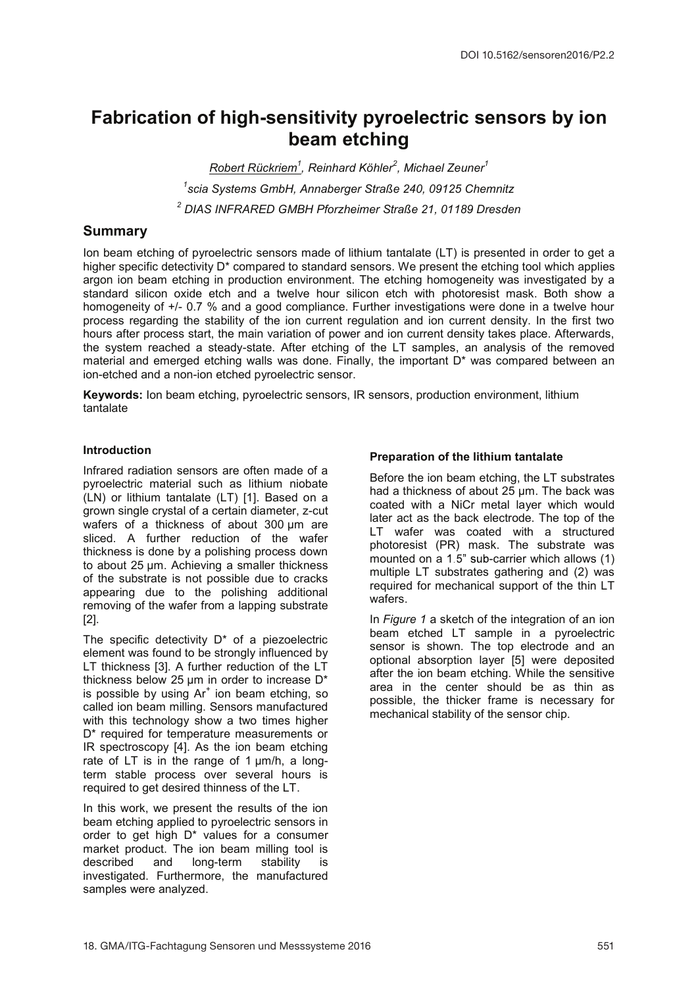# Fabrication of high-sensitivity pyroelectric sensors by ion beam etching

<u>Robert Rückriem<sup>1</sup>,</u> Reinhard Köhler<sup>2</sup>, Michael Zeuner<sup>1</sup> 1 scia Systems GmbH, Annaberger Straße 240, 09125 Chemnitz <sup>2</sup> DIAS INFRARED GMBH Pforzheimer Straße 21, 01189 Dresden

# Summary

Ion beam etching of pyroelectric sensors made of lithium tantalate (LT) is presented in order to get a higher specific detectivity D<sup>\*</sup> compared to standard sensors. We present the etching tool which applies argon ion beam etching in production environment. The etching homogeneity was investigated by a standard silicon oxide etch and a twelve hour silicon etch with photoresist mask. Both show a homogeneity of +/- 0.7 % and a good compliance. Further investigations were done in a twelve hour process regarding the stability of the ion current regulation and ion current density. In the first two hours after process start, the main variation of power and ion current density takes place. Afterwards, the system reached a steady-state. After etching of the LT samples, an analysis of the removed material and emerged etching walls was done. Finally, the important D\* was compared between an ion-etched and a non-ion etched pyroelectric sensor.

Keywords: Ion beam etching, pyroelectric sensors, IR sensors, production environment, lithium tantalate

# **Introduction**

Infrared radiation sensors are often made of a pyroelectric material such as lithium niobate (LN) or lithium tantalate (LT) [1]. Based on a grown single crystal of a certain diameter, z-cut wafers of a thickness of about 300 um are sliced. A further reduction of the wafer thickness is done by a polishing process down to about 25 µm. Achieving a smaller thickness of the substrate is not possible due to cracks appearing due to the polishing additional removing of the wafer from a lapping substrate [2].

The specific detectivity  $D^*$  of a piezoelectric element was found to be strongly influenced by LT thickness [3]. A further reduction of the LT thickness below 25 µm in order to increase D\* is possible by using  $Ar<sup>+</sup>$  ion beam etching, so called ion beam milling. Sensors manufactured with this technology show a two times higher D<sup>\*</sup> required for temperature measurements or IR spectroscopy [4]. As the ion beam etching rate of LT is in the range of 1 um/h, a longterm stable process over several hours is required to get desired thinness of the LT.

In this work, we present the results of the ion beam etching applied to pyroelectric sensors in order to get high D\* values for a consumer market product. The ion beam milling tool is described and long-term stability is investigated. Furthermore, the manufactured samples were analyzed.

# Preparation of the lithium tantalate

Before the ion beam etching, the LT substrates had a thickness of about 25 µm. The back was coated with a NiCr metal layer which would later act as the back electrode. The top of the LT wafer was coated with a structured photoresist (PR) mask. The substrate was mounted on a  $1.5$ " sub-carrier which allows  $(1)$ multiple LT substrates gathering and (2) was required for mechanical support of the thin LT wafers.

In Figure 1 a sketch of the integration of an ion beam etched LT sample in a pyroelectric sensor is shown. The top electrode and an optional absorption layer [5] were deposited after the ion beam etching. While the sensitive area in the center should be as thin as possible, the thicker frame is necessary for mechanical stability of the sensor chip.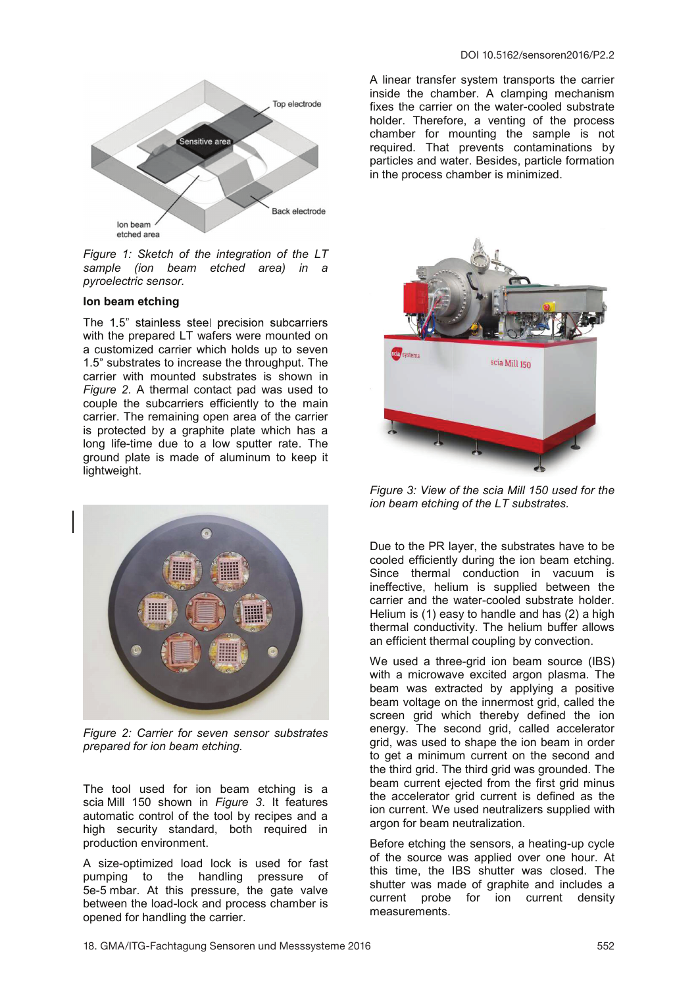

Figure 1: Sketch of the integration of the LT sample (ion beam etched area) in a pyroelectric sensor.

### Ion beam etching

The 1.5" stainless steel precision subcarriers with the prepared LT wafers were mounted on a customized carrier which holds up to seven 1.5" substrates to increase the throughput. The carrier with mounted substrates is shown in Figure 2. A thermal contact pad was used to couple the subcarriers efficiently to the main carrier. The remaining open area of the carrier is protected by a graphite plate which has a long life-time due to a low sputter rate. The ground plate is made of aluminum to keep it lightweight.



Figure 2: Carrier for seven sensor substrates prepared for ion beam etching.

The tool used for ion beam etching is a scia Mill 150 shown in Figure 3. It features automatic control of the tool by recipes and a high security standard, both required in production environment.

A size-optimized load lock is used for fast pumping to the handling pressure of 5e-5 mbar. At this pressure, the gate valve between the load-lock and process chamber is opened for handling the carrier.

A linear transfer system transports the carrier inside the chamber. A clamping mechanism fixes the carrier on the water-cooled substrate holder. Therefore, a venting of the process chamber for mounting the sample is not required. That prevents contaminations by particles and water. Besides, particle formation in the process chamber is minimized.



Figure 3: View of the scia Mill 150 used for the ion beam etching of the LT substrates.

Due to the PR layer, the substrates have to be cooled efficiently during the ion beam etching. Since thermal conduction in vacuum is ineffective, helium is supplied between the carrier and the water-cooled substrate holder. Helium is (1) easy to handle and has (2) a high thermal conductivity. The helium buffer allows an efficient thermal coupling by convection.

We used a three-grid ion beam source (IBS) with a microwave excited argon plasma. The beam was extracted by applying a positive beam voltage on the innermost grid, called the screen grid which thereby defined the ion energy. The second grid, called accelerator grid, was used to shape the ion beam in order to get a minimum current on the second and the third grid. The third grid was grounded. The beam current ejected from the first grid minus the accelerator grid current is defined as the ion current. We used neutralizers supplied with argon for beam neutralization.

Before etching the sensors, a heating-up cycle of the source was applied over one hour. At this time, the IBS shutter was closed. The shutter was made of graphite and includes a current probe for ion current density measurements.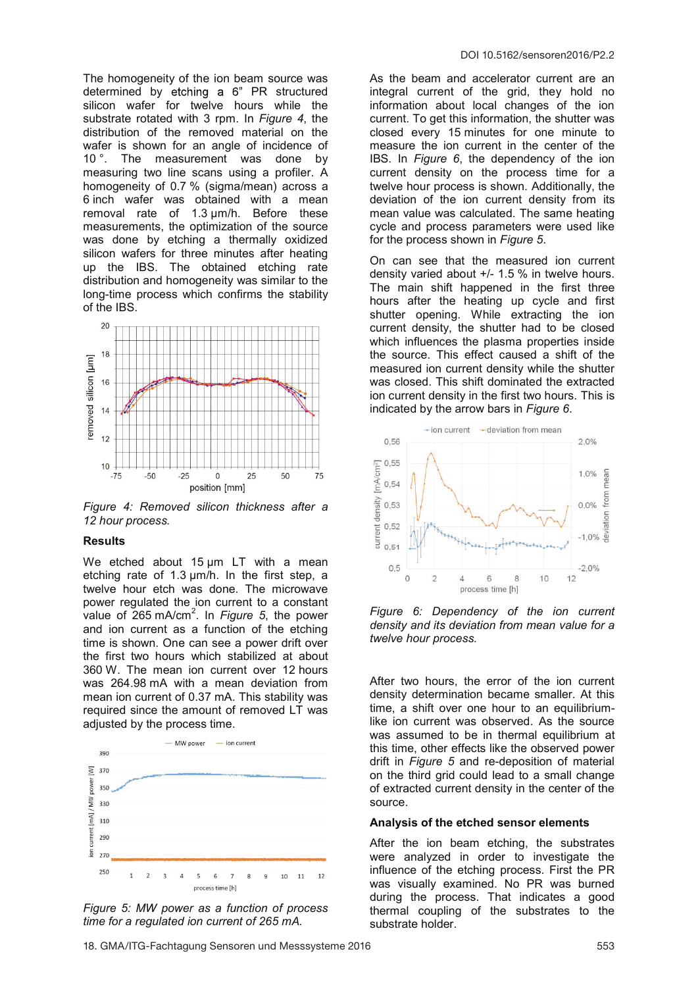The homogeneity of the ion beam source was determined by etching a 6" PR structured silicon wafer for twelve hours while the substrate rotated with 3 rpm. In Figure 4, the distribution of the removed material on the wafer is shown for an angle of incidence of 10 °. The measurement was done by measuring two line scans using a profiler. A homogeneity of 0.7 % (sigma/mean) across a 6 inch wafer was obtained with a mean removal rate of 1.3 µm/h. Before these measurements, the optimization of the source was done by etching a thermally oxidized silicon wafers for three minutes after heating up the IBS. The obtained etching rate distribution and homogeneity was similar to the long-time process which confirms the stability of the IBS.



Figure 4: Removed silicon thickness after a 12 hour process.

#### Results

We etched about 15 um LT with a mean etching rate of 1.3 µm/h. In the first step, a twelve hour etch was done. The microwave power regulated the ion current to a constant value of  $265 \text{ mA/cm}^2$ . In Figure 5, the power and ion current as a function of the etching time is shown. One can see a power drift over the first two hours which stabilized at about 360 W. The mean ion current over 12 hours was 264.98 mA with a mean deviation from mean ion current of 0.37 mA. This stability was required since the amount of removed LT was adjusted by the process time.



Figure 5: MW power as a function of process time for a regulated ion current of 265 mA.

As the beam and accelerator current are an integral current of the grid, they hold no information about local changes of the ion current. To get this information, the shutter was closed every 15 minutes for one minute to measure the ion current in the center of the IBS. In Figure 6, the dependency of the ion current density on the process time for a twelve hour process is shown. Additionally, the deviation of the ion current density from its mean value was calculated. The same heating cycle and process parameters were used like for the process shown in Figure 5.

On can see that the measured ion current density varied about +/- 1.5 % in twelve hours. The main shift happened in the first three hours after the heating up cycle and first shutter opening. While extracting the ion current density, the shutter had to be closed which influences the plasma properties inside the source. This effect caused a shift of the measured ion current density while the shutter was closed. This shift dominated the extracted ion current density in the first two hours. This is indicated by the arrow bars in Figure 6.



Figure 6: Dependency of the ion current density and its deviation from mean value for a twelve hour process.

After two hours, the error of the ion current density determination became smaller. At this time, a shift over one hour to an equilibriumlike ion current was observed. As the source was assumed to be in thermal equilibrium at this time, other effects like the observed power drift in Figure 5 and re-deposition of material on the third grid could lead to a small change of extracted current density in the center of the source.

#### Analysis of the etched sensor elements

After the ion beam etching, the substrates were analyzed in order to investigate the influence of the etching process. First the PR was visually examined. No PR was burned during the process. That indicates a good thermal coupling of the substrates to the substrate holder.